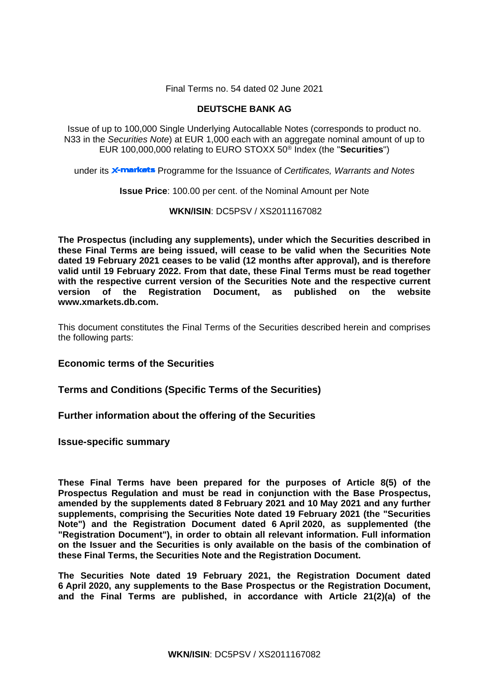Final Terms no. 54 dated 02 June 2021

## **DEUTSCHE BANK AG**

Issue of up to 100,000 Single Underlying Autocallable Notes (corresponds to product no. N33 in the *Securities Note*) at EUR 1,000 each with an aggregate nominal amount of up to EUR 100,000,000 relating to EURO STOXX 50® Index (the "**Securities**")

under its **X-markets** Programme for the Issuance of *Certificates, Warrants and Notes* 

**Issue Price**: 100.00 per cent. of the Nominal Amount per Note

## **WKN/ISIN**: DC5PSV / XS2011167082

**The Prospectus (including any supplements), under which the Securities described in these Final Terms are being issued, will cease to be valid when the Securities Note dated 19 February 2021 ceases to be valid (12 months after approval), and is therefore valid until 19 February 2022. From that date, these Final Terms must be read together with the respective current version of the Securities Note and the respective current version of the Registration Document, as published on the website www.xmarkets.db.com.**

This document constitutes the Final Terms of the Securities described herein and comprises the following parts:

## **Economic terms of the Securities**

## **Terms and Conditions (Specific Terms of the Securities)**

## **Further information about the offering of the Securities**

**Issue-specific summary**

**These Final Terms have been prepared for the purposes of Article 8(5) of the Prospectus Regulation and must be read in conjunction with the Base Prospectus, amended by the supplements dated 8 February 2021 and 10 May 2021 and any further supplements, comprising the Securities Note dated 19 February 2021 (the "Securities Note") and the Registration Document dated 6 April 2020, as supplemented (the "Registration Document"), in order to obtain all relevant information. Full information on the Issuer and the Securities is only available on the basis of the combination of these Final Terms, the Securities Note and the Registration Document.** 

**The Securities Note dated 19 February 2021, the Registration Document dated 6 April 2020, any supplements to the Base Prospectus or the Registration Document, and the Final Terms are published, in accordance with Article 21(2)(a) of the**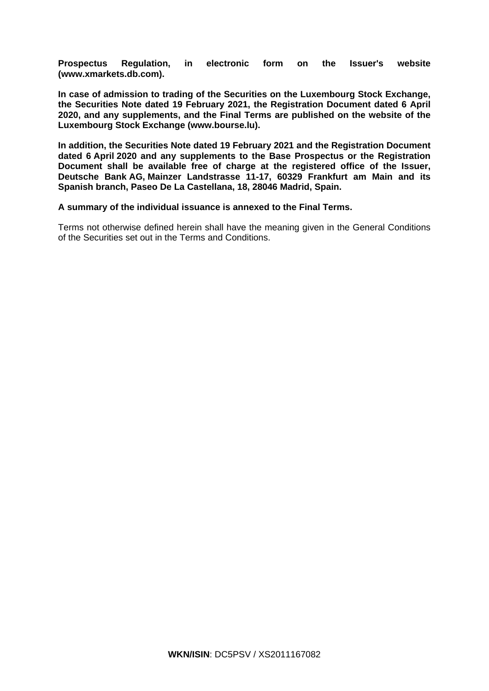**Prospectus Regulation, in electronic form on the Issuer's website [\(www.xmarkets.db.com\)](http://www.xmarkets.db.com/).**

**In case of admission to trading of the Securities on the Luxembourg Stock Exchange, the Securities Note dated 19 February 2021, the Registration Document dated 6 April 2020, and any supplements, and the Final Terms are published on the website of the Luxembourg Stock Exchange (www.bourse.lu).**

**In addition, the Securities Note dated 19 February 2021 and the Registration Document dated 6 April 2020 and any supplements to the Base Prospectus or the Registration Document shall be available free of charge at the registered office of the Issuer, Deutsche Bank AG, Mainzer Landstrasse 11-17, 60329 Frankfurt am Main and its Spanish branch, Paseo De La Castellana, 18, 28046 Madrid, Spain.**

## **A summary of the individual issuance is annexed to the Final Terms.**

Terms not otherwise defined herein shall have the meaning given in the General Conditions of the Securities set out in the Terms and Conditions.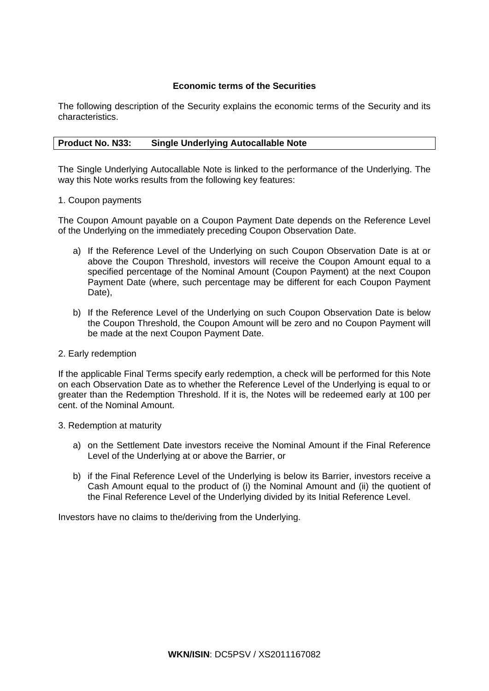## **Economic terms of the Securities**

The following description of the Security explains the economic terms of the Security and its characteristics.

## **Product No. N33: Single Underlying Autocallable Note**

The Single Underlying Autocallable Note is linked to the performance of the Underlying. The way this Note works results from the following key features:

## 1. Coupon payments

The Coupon Amount payable on a Coupon Payment Date depends on the Reference Level of the Underlying on the immediately preceding Coupon Observation Date.

- a) If the Reference Level of the Underlying on such Coupon Observation Date is at or above the Coupon Threshold, investors will receive the Coupon Amount equal to a specified percentage of the Nominal Amount (Coupon Payment) at the next Coupon Payment Date (where, such percentage may be different for each Coupon Payment Date).
- b) If the Reference Level of the Underlying on such Coupon Observation Date is below the Coupon Threshold, the Coupon Amount will be zero and no Coupon Payment will be made at the next Coupon Payment Date.

## 2. Early redemption

If the applicable Final Terms specify early redemption, a check will be performed for this Note on each Observation Date as to whether the Reference Level of the Underlying is equal to or greater than the Redemption Threshold. If it is, the Notes will be redeemed early at 100 per cent. of the Nominal Amount.

## 3. Redemption at maturity

- a) on the Settlement Date investors receive the Nominal Amount if the Final Reference Level of the Underlying at or above the Barrier, or
- b) if the Final Reference Level of the Underlying is below its Barrier, investors receive a Cash Amount equal to the product of (i) the Nominal Amount and (ii) the quotient of the Final Reference Level of the Underlying divided by its Initial Reference Level.

Investors have no claims to the/deriving from the Underlying.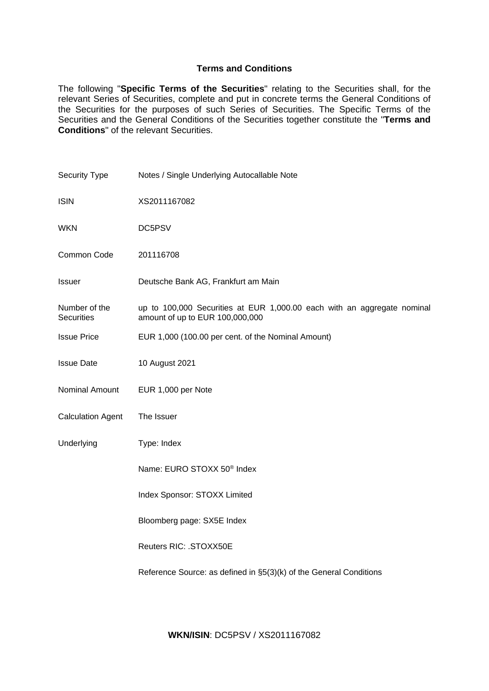## **Terms and Conditions**

The following "**Specific Terms of the Securities**" relating to the Securities shall, for the relevant Series of Securities, complete and put in concrete terms the General Conditions of the Securities for the purposes of such Series of Securities. The Specific Terms of the Securities and the General Conditions of the Securities together constitute the "**Terms and Conditions**" of the relevant Securities.

| <b>Security Type</b>               | Notes / Single Underlying Autocallable Note                                                                |
|------------------------------------|------------------------------------------------------------------------------------------------------------|
| <b>ISIN</b>                        | XS2011167082                                                                                               |
| <b>WKN</b>                         | DC5PSV                                                                                                     |
| Common Code                        | 201116708                                                                                                  |
| Issuer                             | Deutsche Bank AG, Frankfurt am Main                                                                        |
| Number of the<br><b>Securities</b> | up to 100,000 Securities at EUR 1,000.00 each with an aggregate nominal<br>amount of up to EUR 100,000,000 |
| <b>Issue Price</b>                 | EUR 1,000 (100.00 per cent. of the Nominal Amount)                                                         |
| <b>Issue Date</b>                  | 10 August 2021                                                                                             |
| Nominal Amount                     | EUR 1,000 per Note                                                                                         |
| <b>Calculation Agent</b>           | The Issuer                                                                                                 |
| Underlying                         | Type: Index                                                                                                |
|                                    | Name: EURO STOXX 50 <sup>®</sup> Index                                                                     |
|                                    | Index Sponsor: STOXX Limited                                                                               |
|                                    | Bloomberg page: SX5E Index                                                                                 |
|                                    | Reuters RIC: . STOXX50E                                                                                    |
|                                    | Reference Source: as defined in §5(3)(k) of the General Conditions                                         |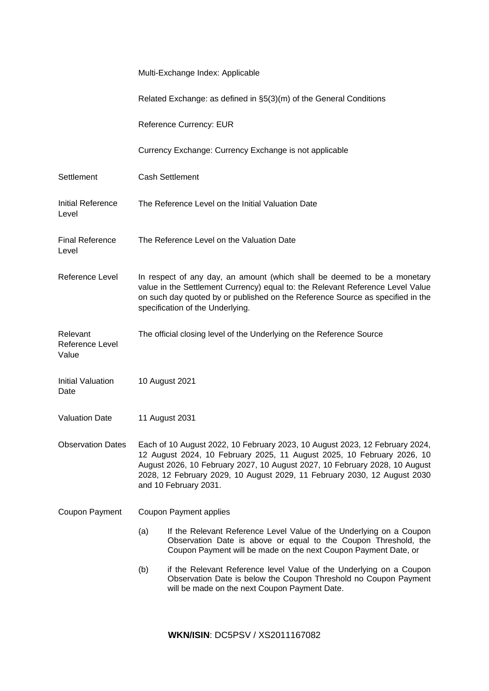|                                      | Multi-Exchange Index: Applicable                                                                                                                                                                                                                                                 |                                                                                                                                                                                                                                                                                                                                          |  |
|--------------------------------------|----------------------------------------------------------------------------------------------------------------------------------------------------------------------------------------------------------------------------------------------------------------------------------|------------------------------------------------------------------------------------------------------------------------------------------------------------------------------------------------------------------------------------------------------------------------------------------------------------------------------------------|--|
|                                      |                                                                                                                                                                                                                                                                                  | Related Exchange: as defined in §5(3)(m) of the General Conditions                                                                                                                                                                                                                                                                       |  |
|                                      | <b>Reference Currency: EUR</b>                                                                                                                                                                                                                                                   |                                                                                                                                                                                                                                                                                                                                          |  |
|                                      |                                                                                                                                                                                                                                                                                  | Currency Exchange: Currency Exchange is not applicable                                                                                                                                                                                                                                                                                   |  |
| Settlement                           |                                                                                                                                                                                                                                                                                  | <b>Cash Settlement</b>                                                                                                                                                                                                                                                                                                                   |  |
| Initial Reference<br>Level           |                                                                                                                                                                                                                                                                                  | The Reference Level on the Initial Valuation Date                                                                                                                                                                                                                                                                                        |  |
| <b>Final Reference</b><br>Level      |                                                                                                                                                                                                                                                                                  | The Reference Level on the Valuation Date                                                                                                                                                                                                                                                                                                |  |
| Reference Level                      | In respect of any day, an amount (which shall be deemed to be a monetary<br>value in the Settlement Currency) equal to: the Relevant Reference Level Value<br>on such day quoted by or published on the Reference Source as specified in the<br>specification of the Underlying. |                                                                                                                                                                                                                                                                                                                                          |  |
| Relevant<br>Reference Level<br>Value |                                                                                                                                                                                                                                                                                  | The official closing level of the Underlying on the Reference Source                                                                                                                                                                                                                                                                     |  |
| <b>Initial Valuation</b><br>Date     | 10 August 2021                                                                                                                                                                                                                                                                   |                                                                                                                                                                                                                                                                                                                                          |  |
| <b>Valuation Date</b>                | 11 August 2031                                                                                                                                                                                                                                                                   |                                                                                                                                                                                                                                                                                                                                          |  |
| <b>Observation Dates</b>             |                                                                                                                                                                                                                                                                                  | Each of 10 August 2022, 10 February 2023, 10 August 2023, 12 February 2024,<br>12 August 2024, 10 February 2025, 11 August 2025, 10 February 2026, 10<br>August 2026, 10 February 2027, 10 August 2027, 10 February 2028, 10 August<br>2028, 12 February 2029, 10 August 2029, 11 February 2030, 12 August 2030<br>and 10 February 2031. |  |
| Coupon Payment                       |                                                                                                                                                                                                                                                                                  | Coupon Payment applies                                                                                                                                                                                                                                                                                                                   |  |
|                                      | (a)                                                                                                                                                                                                                                                                              | If the Relevant Reference Level Value of the Underlying on a Coupon<br>Observation Date is above or equal to the Coupon Threshold, the<br>Coupon Payment will be made on the next Coupon Payment Date, or                                                                                                                                |  |
|                                      | (b)                                                                                                                                                                                                                                                                              | if the Relevant Reference level Value of the Underlying on a Coupon<br>Observation Date is below the Coupon Threshold no Coupon Payment<br>will be made on the next Coupon Payment Date.                                                                                                                                                 |  |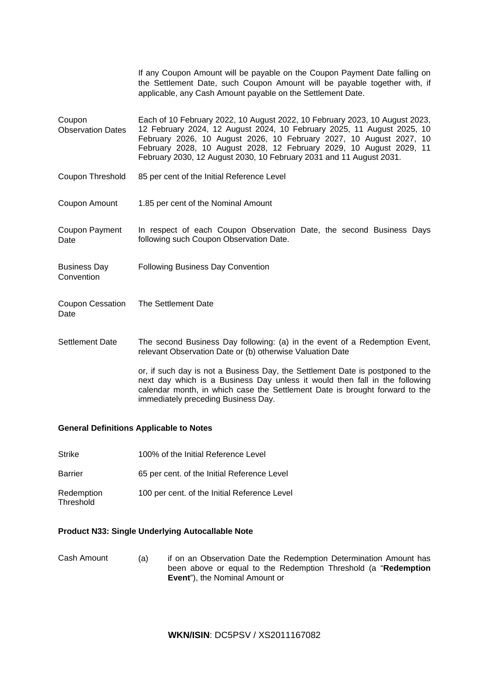|                                    | If any Coupon Amount will be payable on the Coupon Payment Date falling on<br>the Settlement Date, such Coupon Amount will be payable together with, if<br>applicable, any Cash Amount payable on the Settlement Date.                                                                                                                                                     |
|------------------------------------|----------------------------------------------------------------------------------------------------------------------------------------------------------------------------------------------------------------------------------------------------------------------------------------------------------------------------------------------------------------------------|
| Coupon<br><b>Observation Dates</b> | Each of 10 February 2022, 10 August 2022, 10 February 2023, 10 August 2023,<br>12 February 2024, 12 August 2024, 10 February 2025, 11 August 2025, 10<br>February 2026, 10 August 2026, 10 February 2027, 10 August 2027, 10<br>February 2028, 10 August 2028, 12 February 2029, 10 August 2029, 11<br>February 2030, 12 August 2030, 10 February 2031 and 11 August 2031. |
| Coupon Threshold                   | 85 per cent of the Initial Reference Level                                                                                                                                                                                                                                                                                                                                 |
| Coupon Amount                      | 1.85 per cent of the Nominal Amount                                                                                                                                                                                                                                                                                                                                        |
| Coupon Payment<br>Date             | In respect of each Coupon Observation Date, the second Business Days<br>following such Coupon Observation Date.                                                                                                                                                                                                                                                            |
| <b>Business Day</b><br>Convention  | <b>Following Business Day Convention</b>                                                                                                                                                                                                                                                                                                                                   |
| Coupon Cessation<br>Date           | The Settlement Date                                                                                                                                                                                                                                                                                                                                                        |
| <b>Settlement Date</b>             | The second Business Day following: (a) in the event of a Redemption Event,<br>relevant Observation Date or (b) otherwise Valuation Date                                                                                                                                                                                                                                    |
|                                    | or, if such day is not a Business Day, the Settlement Date is postponed to the<br>next day which is a Business Day unless it would then fall in the following<br>calendar month, in which case the Settlement Date is brought forward to the                                                                                                                               |

## **General Definitions Applicable to Notes**

- Strike 100% of the Initial Reference Level
- Barrier 65 per cent. of the Initial Reference Level

immediately preceding Business Day.

Redemption **Threshold** 100 per cent. of the Initial Reference Level

## **Product N33: Single Underlying Autocallable Note**

Cash Amount (a) if on an Observation Date the Redemption Determination Amount has been above or equal to the Redemption Threshold (a "**Redemption Event**"), the Nominal Amount or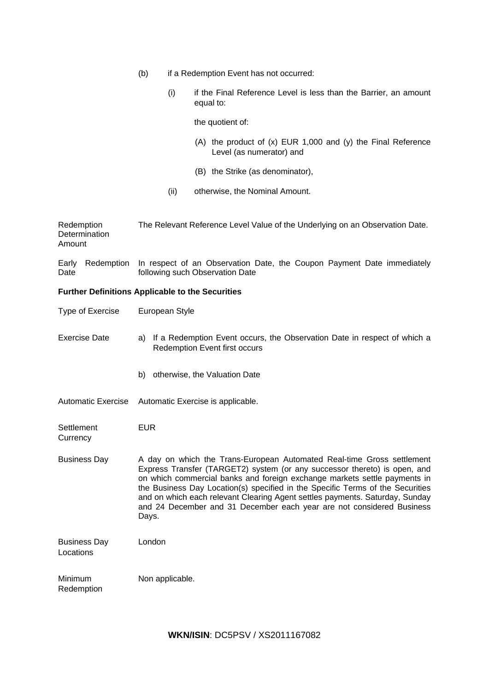- (b) if a Redemption Event has not occurred:
	- (i) if the Final Reference Level is less than the Barrier, an amount equal to:

the quotient of:

- (A) the product of (x) EUR 1,000 and (y) the Final Reference Level (as numerator) and
- (B) the Strike (as denominator),
- (ii) otherwise, the Nominal Amount.

| Redemption<br>Determination<br>Amount | The Relevant Reference Level Value of the Underlying on an Observation Date.                                                                                                                                                                                                                                                                                                                                                                                                         |
|---------------------------------------|--------------------------------------------------------------------------------------------------------------------------------------------------------------------------------------------------------------------------------------------------------------------------------------------------------------------------------------------------------------------------------------------------------------------------------------------------------------------------------------|
| Redemption<br>Early<br>Date           | In respect of an Observation Date, the Coupon Payment Date immediately<br>following such Observation Date                                                                                                                                                                                                                                                                                                                                                                            |
|                                       | <b>Further Definitions Applicable to the Securities</b>                                                                                                                                                                                                                                                                                                                                                                                                                              |
| <b>Type of Exercise</b>               | European Style                                                                                                                                                                                                                                                                                                                                                                                                                                                                       |
| <b>Exercise Date</b>                  | a) If a Redemption Event occurs, the Observation Date in respect of which a<br><b>Redemption Event first occurs</b>                                                                                                                                                                                                                                                                                                                                                                  |
|                                       | b) otherwise, the Valuation Date                                                                                                                                                                                                                                                                                                                                                                                                                                                     |
| <b>Automatic Exercise</b>             | Automatic Exercise is applicable.                                                                                                                                                                                                                                                                                                                                                                                                                                                    |
| Settlement<br>Currency                | <b>EUR</b>                                                                                                                                                                                                                                                                                                                                                                                                                                                                           |
| <b>Business Day</b>                   | A day on which the Trans-European Automated Real-time Gross settlement<br>Express Transfer (TARGET2) system (or any successor thereto) is open, and<br>on which commercial banks and foreign exchange markets settle payments in<br>the Business Day Location(s) specified in the Specific Terms of the Securities<br>and on which each relevant Clearing Agent settles payments. Saturday, Sunday<br>and 24 December and 31 December each year are not considered Business<br>Days. |
| <b>Business Day</b><br>Locations      | London                                                                                                                                                                                                                                                                                                                                                                                                                                                                               |
| Minimum<br>Redemption                 | Non applicable.                                                                                                                                                                                                                                                                                                                                                                                                                                                                      |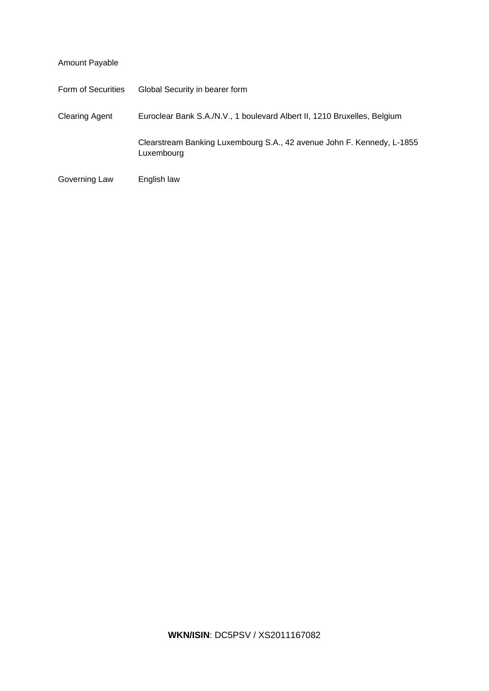| Amount Payable        |                                                                                      |
|-----------------------|--------------------------------------------------------------------------------------|
| Form of Securities    | Global Security in bearer form                                                       |
| <b>Clearing Agent</b> | Euroclear Bank S.A./N.V., 1 boulevard Albert II, 1210 Bruxelles, Belgium             |
|                       | Clearstream Banking Luxembourg S.A., 42 avenue John F. Kennedy, L-1855<br>Luxembourg |
| Governing Law         | English law                                                                          |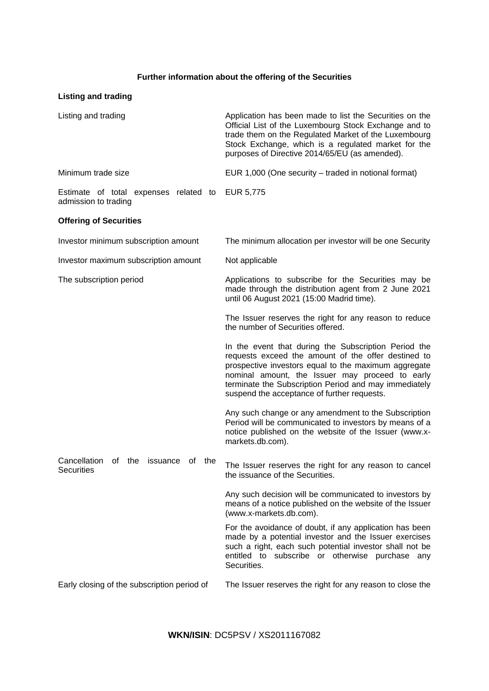## **Further information about the offering of the Securities**

# **Listing and trading**

| Listing and trading                                                  | Application has been made to list the Securities on the<br>Official List of the Luxembourg Stock Exchange and to<br>trade them on the Regulated Market of the Luxembourg<br>Stock Exchange, which is a regulated market for the<br>purposes of Directive 2014/65/EU (as amended).                                              |
|----------------------------------------------------------------------|--------------------------------------------------------------------------------------------------------------------------------------------------------------------------------------------------------------------------------------------------------------------------------------------------------------------------------|
| Minimum trade size                                                   | EUR 1,000 (One security – traded in notional format)                                                                                                                                                                                                                                                                           |
| Estimate of total expenses related to<br>admission to trading        | EUR 5,775                                                                                                                                                                                                                                                                                                                      |
| <b>Offering of Securities</b>                                        |                                                                                                                                                                                                                                                                                                                                |
| Investor minimum subscription amount                                 | The minimum allocation per investor will be one Security                                                                                                                                                                                                                                                                       |
| Investor maximum subscription amount                                 | Not applicable                                                                                                                                                                                                                                                                                                                 |
| The subscription period                                              | Applications to subscribe for the Securities may be<br>made through the distribution agent from 2 June 2021<br>until 06 August 2021 (15:00 Madrid time).                                                                                                                                                                       |
|                                                                      | The Issuer reserves the right for any reason to reduce<br>the number of Securities offered.                                                                                                                                                                                                                                    |
|                                                                      | In the event that during the Subscription Period the<br>requests exceed the amount of the offer destined to<br>prospective investors equal to the maximum aggregate<br>nominal amount, the Issuer may proceed to early<br>terminate the Subscription Period and may immediately<br>suspend the acceptance of further requests. |
|                                                                      | Any such change or any amendment to the Subscription<br>Period will be communicated to investors by means of a<br>notice published on the website of the Issuer (www.x-<br>markets.db.com).                                                                                                                                    |
| Cancellation<br>of the<br>issuance<br>οf<br>the<br><b>Securities</b> | The Issuer reserves the right for any reason to cancel<br>the issuance of the Securities.                                                                                                                                                                                                                                      |
|                                                                      | Any such decision will be communicated to investors by<br>means of a notice published on the website of the Issuer<br>(www.x-markets.db.com).                                                                                                                                                                                  |
|                                                                      | For the avoidance of doubt, if any application has been<br>made by a potential investor and the Issuer exercises<br>such a right, each such potential investor shall not be<br>entitled to subscribe or otherwise purchase any<br>Securities.                                                                                  |
| Early closing of the subscription period of                          | The Issuer reserves the right for any reason to close the                                                                                                                                                                                                                                                                      |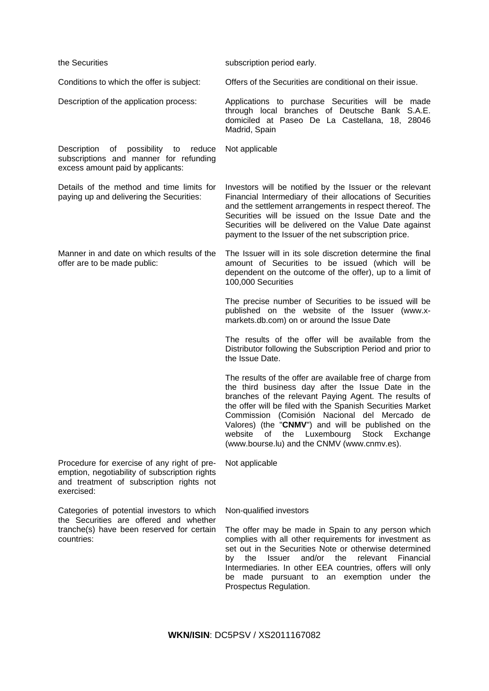| the Securities                                                                                                                                         | subscription period early.                                                                                                                                                                                                                                                                                                                                                                                                                           |
|--------------------------------------------------------------------------------------------------------------------------------------------------------|------------------------------------------------------------------------------------------------------------------------------------------------------------------------------------------------------------------------------------------------------------------------------------------------------------------------------------------------------------------------------------------------------------------------------------------------------|
| Conditions to which the offer is subject:                                                                                                              | Offers of the Securities are conditional on their issue.                                                                                                                                                                                                                                                                                                                                                                                             |
| Description of the application process:                                                                                                                | Applications to purchase Securities will be made<br>through local branches of Deutsche Bank S.A.E.<br>domiciled at Paseo De La Castellana, 18, 28046<br>Madrid, Spain                                                                                                                                                                                                                                                                                |
| Description of possibility to reduce<br>subscriptions and manner for refunding<br>excess amount paid by applicants:                                    | Not applicable                                                                                                                                                                                                                                                                                                                                                                                                                                       |
| Details of the method and time limits for<br>paying up and delivering the Securities:                                                                  | Investors will be notified by the Issuer or the relevant<br>Financial Intermediary of their allocations of Securities<br>and the settlement arrangements in respect thereof. The<br>Securities will be issued on the Issue Date and the<br>Securities will be delivered on the Value Date against<br>payment to the Issuer of the net subscription price.                                                                                            |
| Manner in and date on which results of the<br>offer are to be made public:                                                                             | The Issuer will in its sole discretion determine the final<br>amount of Securities to be issued (which will be<br>dependent on the outcome of the offer), up to a limit of<br>100,000 Securities                                                                                                                                                                                                                                                     |
|                                                                                                                                                        | The precise number of Securities to be issued will be<br>published on the website of the Issuer (www.x-<br>markets.db.com) on or around the Issue Date                                                                                                                                                                                                                                                                                               |
|                                                                                                                                                        | The results of the offer will be available from the<br>Distributor following the Subscription Period and prior to<br>the Issue Date.                                                                                                                                                                                                                                                                                                                 |
|                                                                                                                                                        | The results of the offer are available free of charge from<br>the third business day after the Issue Date in the<br>branches of the relevant Paying Agent. The results of<br>the offer will be filed with the Spanish Securities Market<br>Commission (Comisión Nacional del Mercado de<br>Valores) (the "CNMV") and will be published on the<br>website<br>the<br>Luxembourg Stock<br>Exchange<br>οf<br>(www.bourse.lu) and the CNMV (www.cnmv.es). |
| Procedure for exercise of any right of pre-<br>emption, negotiability of subscription rights<br>and treatment of subscription rights not<br>exercised: | Not applicable                                                                                                                                                                                                                                                                                                                                                                                                                                       |
| Categories of potential investors to which<br>the Securities are offered and whether                                                                   | Non-qualified investors                                                                                                                                                                                                                                                                                                                                                                                                                              |
| tranche(s) have been reserved for certain<br>countries:                                                                                                | The offer may be made in Spain to any person which<br>complies with all other requirements for investment as<br>set out in the Securities Note or otherwise determined<br>and/or<br>the<br>relevant<br>the<br><b>Issuer</b><br>Financial<br>b٧<br>Intermediaries. In other EEA countries, offers will only<br>be made pursuant to an exemption under the<br>Prospectus Regulation.                                                                   |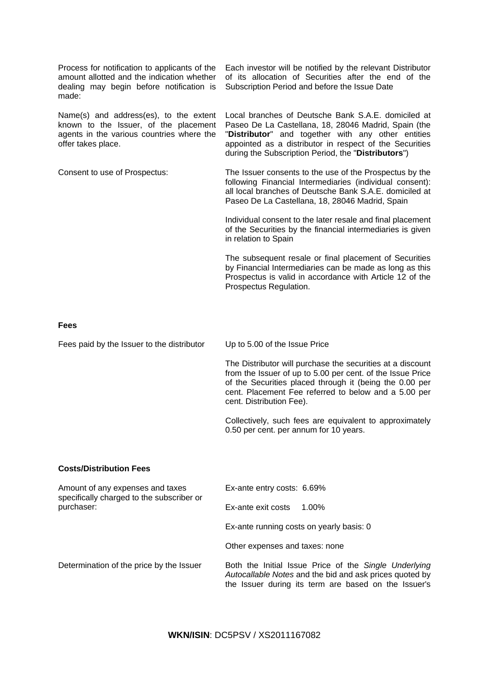Process for notification to applicants of the amount allotted and the indication whether dealing may begin before notification is made:

Name(s) and address(es), to the extent known to the Issuer, of the placement agents in the various countries where the offer takes place.

Each investor will be notified by the relevant Distributor of its allocation of Securities after the end of the Subscription Period and before the Issue Date

Local branches of Deutsche Bank S.A.E. domiciled at Paseo De La Castellana, 18, 28046 Madrid, Spain (the "**Distributor**" and together with any other entities appointed as a distributor in respect of the Securities during the Subscription Period, the "**Distributors**")

Consent to use of Prospectus: The Issuer consents to the use of the Prospectus by the following Financial Intermediaries (individual consent): all local branches of Deutsche Bank S.A.E. domiciled at Paseo De La Castellana, 18, 28046 Madrid, Spain

> Individual consent to the later resale and final placement of the Securities by the financial intermediaries is given in relation to Spain

> The subsequent resale or final placement of Securities by Financial Intermediaries can be made as long as this Prospectus is valid in accordance with Article 12 of the Prospectus Regulation.

### **Fees**

Fees paid by the Issuer to the distributor Up to 5.00 of the Issue Price

The Distributor will purchase the securities at a discount from the Issuer of up to 5.00 per cent. of the Issue Price of the Securities placed through it (being the 0.00 per cent. Placement Fee referred to below and a 5.00 per cent. Distribution Fee).

Collectively, such fees are equivalent to approximately 0.50 per cent. per annum for 10 years.

### **Costs/Distribution Fees**

| Amount of any expenses and taxes<br>specifically charged to the subscriber or | Ex-ante entry costs: 6.69%                                                                                                                                               |
|-------------------------------------------------------------------------------|--------------------------------------------------------------------------------------------------------------------------------------------------------------------------|
| purchaser:                                                                    | Ex-ante exit costs<br>$1.00\%$                                                                                                                                           |
|                                                                               | Ex-ante running costs on yearly basis: 0                                                                                                                                 |
|                                                                               | Other expenses and taxes: none                                                                                                                                           |
| Determination of the price by the Issuer                                      | Both the Initial Issue Price of the Single Underlying<br>Autocallable Notes and the bid and ask prices quoted by<br>the Issuer during its term are based on the Issuer's |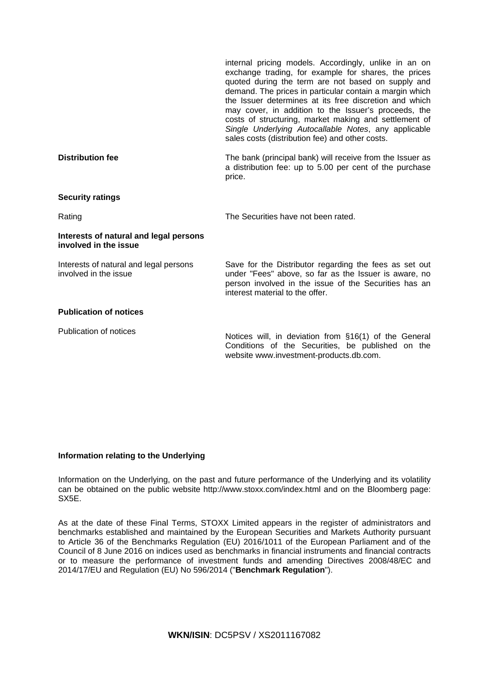|                                                                 | internal pricing models. Accordingly, unlike in an on<br>exchange trading, for example for shares, the prices<br>quoted during the term are not based on supply and<br>demand. The prices in particular contain a margin which<br>the Issuer determines at its free discretion and which<br>may cover, in addition to the Issuer's proceeds, the<br>costs of structuring, market making and settlement of<br>Single Underlying Autocallable Notes, any applicable<br>sales costs (distribution fee) and other costs. |
|-----------------------------------------------------------------|----------------------------------------------------------------------------------------------------------------------------------------------------------------------------------------------------------------------------------------------------------------------------------------------------------------------------------------------------------------------------------------------------------------------------------------------------------------------------------------------------------------------|
| <b>Distribution fee</b>                                         | The bank (principal bank) will receive from the Issuer as<br>a distribution fee: up to 5.00 per cent of the purchase<br>price.                                                                                                                                                                                                                                                                                                                                                                                       |
| <b>Security ratings</b>                                         |                                                                                                                                                                                                                                                                                                                                                                                                                                                                                                                      |
| Rating                                                          | The Securities have not been rated.                                                                                                                                                                                                                                                                                                                                                                                                                                                                                  |
| Interests of natural and legal persons<br>involved in the issue |                                                                                                                                                                                                                                                                                                                                                                                                                                                                                                                      |
| Interests of natural and legal persons<br>involved in the issue | Save for the Distributor regarding the fees as set out<br>under "Fees" above, so far as the Issuer is aware, no<br>person involved in the issue of the Securities has an<br>interest material to the offer.                                                                                                                                                                                                                                                                                                          |
| <b>Publication of notices</b>                                   |                                                                                                                                                                                                                                                                                                                                                                                                                                                                                                                      |
| Publication of notices                                          | Notices will, in deviation from §16(1) of the General<br>Conditions of the Securities, be published on the<br>website www.investment-products.db.com.                                                                                                                                                                                                                                                                                                                                                                |

## **Information relating to the Underlying**

Information on the Underlying, on the past and future performance of the Underlying and its volatility can be obtained on the public website http://www.stoxx.com/index.html and on the Bloomberg page: SX5E.

As at the date of these Final Terms, STOXX Limited appears in the register of administrators and benchmarks established and maintained by the European Securities and Markets Authority pursuant to Article 36 of the Benchmarks Regulation (EU) 2016/1011 of the European Parliament and of the Council of 8 June 2016 on indices used as benchmarks in financial instruments and financial contracts or to measure the performance of investment funds and amending Directives 2008/48/EC and 2014/17/EU and Regulation (EU) No 596/2014 ("**Benchmark Regulation**").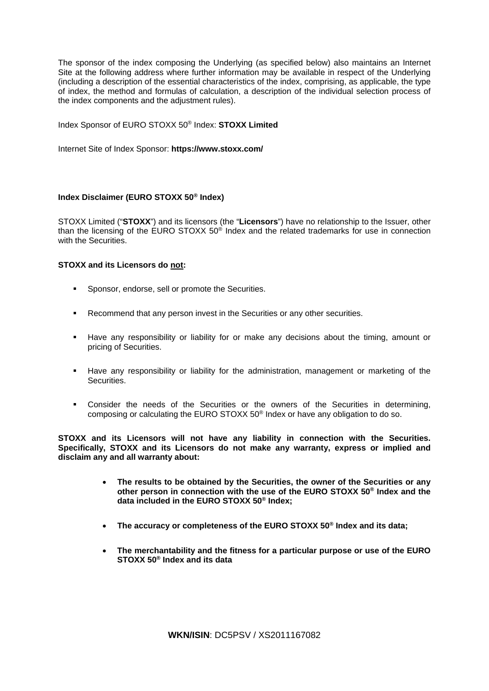The sponsor of the index composing the Underlying (as specified below) also maintains an Internet Site at the following address where further information may be available in respect of the Underlying (including a description of the essential characteristics of the index, comprising, as applicable, the type of index, the method and formulas of calculation, a description of the individual selection process of the index components and the adjustment rules).

Index Sponsor of EURO STOXX 50® Index: **STOXX Limited**

Internet Site of Index Sponsor: **https://www.stoxx.com/**

## **Index Disclaimer (EURO STOXX 50® Index)**

STOXX Limited ("**STOXX**") and its licensors (the "**Licensors**") have no relationship to the Issuer, other than the licensing of the EURO STOXX 50® Index and the related trademarks for use in connection with the Securities.

### **STOXX and its Licensors do not:**

- **Sponsor, endorse, sell or promote the Securities.**
- Recommend that any person invest in the Securities or any other securities.
- Have any responsibility or liability for or make any decisions about the timing, amount or pricing of Securities.
- Have any responsibility or liability for the administration, management or marketing of the Securities.
- Consider the needs of the Securities or the owners of the Securities in determining, composing or calculating the EURO STOXX 50® Index or have any obligation to do so.

**STOXX and its Licensors will not have any liability in connection with the Securities. Specifically, STOXX and its Licensors do not make any warranty, express or implied and disclaim any and all warranty about:**

- **The results to be obtained by the Securities, the owner of the Securities or any other person in connection with the use of the EURO STOXX 50® Index and the data included in the EURO STOXX 50® Index;**
- **The accuracy or completeness of the EURO STOXX 50® Index and its data;**
- **The merchantability and the fitness for a particular purpose or use of the EURO STOXX 50® Index and its data**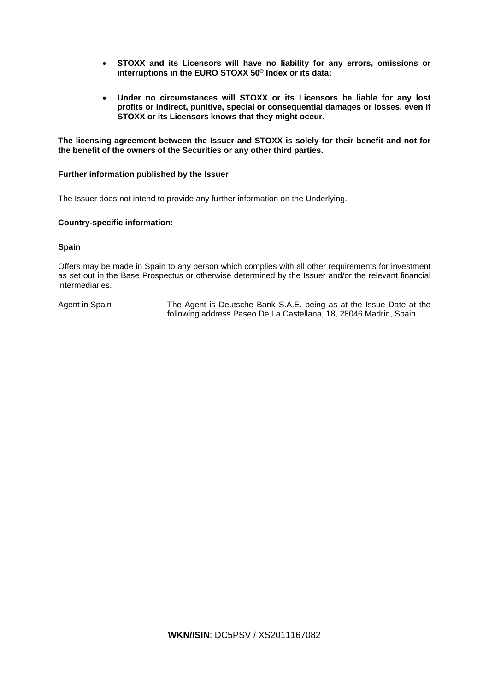- **STOXX and its Licensors will have no liability for any errors, omissions or interruptions in the EURO STOXX 50® Index or its data;**
- **Under no circumstances will STOXX or its Licensors be liable for any lost profits or indirect, punitive, special or consequential damages or losses, even if STOXX or its Licensors knows that they might occur.**

**The licensing agreement between the Issuer and STOXX is solely for their benefit and not for the benefit of the owners of the Securities or any other third parties.**

### **Further information published by the Issuer**

The Issuer does not intend to provide any further information on the Underlying.

### **Country-specific information:**

## **Spain**

Offers may be made in Spain to any person which complies with all other requirements for investment as set out in the Base Prospectus or otherwise determined by the Issuer and/or the relevant financial intermediaries.

Agent in Spain The Agent is Deutsche Bank S.A.E. being as at the Issue Date at the following address Paseo De La Castellana, 18, 28046 Madrid, Spain.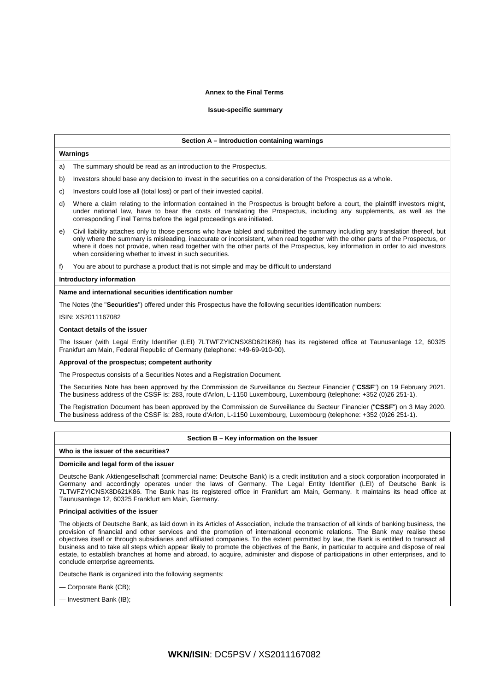#### **Annex to the Final Terms**

#### **Issue-specific summary**

#### **Section A – Introduction containing warnings**

#### **Warnings**

a) The summary should be read as an introduction to the Prospectus.

- b) Investors should base any decision to invest in the securities on a consideration of the Prospectus as a whole.
- c) Investors could lose all (total loss) or part of their invested capital.
- d) Where a claim relating to the information contained in the Prospectus is brought before a court, the plaintiff investors might, under national law, have to bear the costs of translating the Prospectus, including any supplements, as well as the corresponding Final Terms before the legal proceedings are initiated.
- e) Civil liability attaches only to those persons who have tabled and submitted the summary including any translation thereof, but only where the summary is misleading, inaccurate or inconsistent, when read together with the other parts of the Prospectus, or where it does not provide, when read together with the other parts of the Prospectus, key information in order to aid investors when considering whether to invest in such securities.

f) You are about to purchase a product that is not simple and may be difficult to understand

#### **Introductory information**

### **Name and international securities identification number**

The Notes (the "**Securities**") offered under this Prospectus have the following securities identification numbers:

ISIN: XS2011167082

#### **Contact details of the issuer**

The Issuer (with Legal Entity Identifier (LEI) 7LTWFZYICNSX8D621K86) has its registered office at Taunusanlage 12, 60325 Frankfurt am Main, Federal Republic of Germany (telephone: +49-69-910-00).

#### **Approval of the prospectus; competent authority**

The Prospectus consists of a Securities Notes and a Registration Document.

The Securities Note has been approved by the Commission de Surveillance du Secteur Financier ("**CSSF**") on 19 February 2021. The business address of the CSSF is: 283, route d'Arlon, L-1150 Luxembourg, Luxembourg (telephone: +352 (0)26 251-1).

The Registration Document has been approved by the Commission de Surveillance du Secteur Financier ("**CSSF**") on 3 May 2020. The business address of the CSSF is: 283, route d'Arlon, L-1150 Luxembourg, Luxembourg (telephone: +352 (0)26 251-1).

#### **Section B – Key information on the Issuer**

#### **Who is the issuer of the securities?**

#### **Domicile and legal form of the issuer**

Deutsche Bank Aktiengesellschaft (commercial name: Deutsche Bank) is a credit institution and a stock corporation incorporated in Germany and accordingly operates under the laws of Germany. The Legal Entity Identifier (LEI) of Deutsche Bank is 7LTWFZYICNSX8D621K86. The Bank has its registered office in Frankfurt am Main, Germany. It maintains its head office at Taunusanlage 12, 60325 Frankfurt am Main, Germany.

#### **Principal activities of the issuer**

The objects of Deutsche Bank, as laid down in its Articles of Association, include the transaction of all kinds of banking business, the provision of financial and other services and the promotion of international economic relations. The Bank may realise these objectives itself or through subsidiaries and affiliated companies. To the extent permitted by law, the Bank is entitled to transact all business and to take all steps which appear likely to promote the objectives of the Bank, in particular to acquire and dispose of real estate, to establish branches at home and abroad, to acquire, administer and dispose of participations in other enterprises, and to conclude enterprise agreements.

Deutsche Bank is organized into the following segments:

— Corporate Bank (CB);

— Investment Bank (IB);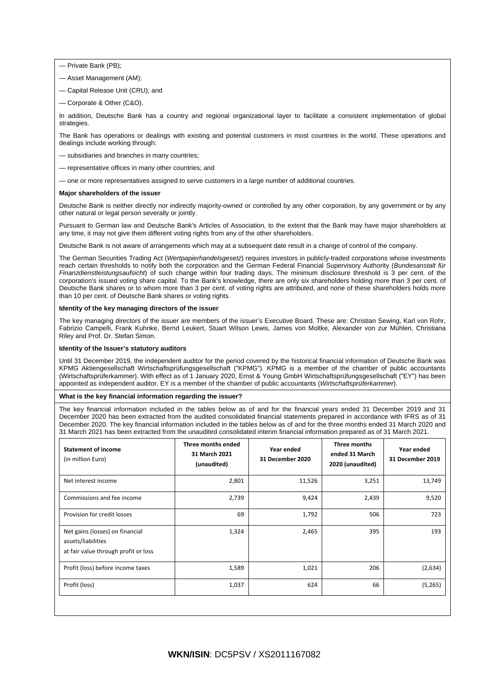— Private Bank (PB);

- Asset Management (AM);
- Capital Release Unit (CRU); and
- Corporate & Other (C&O).

In addition, Deutsche Bank has a country and regional organizational layer to facilitate a consistent implementation of global strategies.

The Bank has operations or dealings with existing and potential customers in most countries in the world. These operations and dealings include working through:

- subsidiaries and branches in many countries;
- representative offices in many other countries; and
- one or more representatives assigned to serve customers in a large number of additional countries.

#### **Major shareholders of the issuer**

Deutsche Bank is neither directly nor indirectly majority-owned or controlled by any other corporation, by any government or by any other natural or legal person severally or jointly.

Pursuant to German law and Deutsche Bank's Articles of Association, to the extent that the Bank may have major shareholders at any time, it may not give them different voting rights from any of the other shareholders.

Deutsche Bank is not aware of arrangements which may at a subsequent date result in a change of control of the company.

The German Securities Trading Act (*Wertpapierhandelsgesetz*) requires investors in publicly-traded corporations whose investments reach certain thresholds to notify both the corporation and the German Federal Financial Supervisory Authority (*Bundesanstalt für Finanzdienstleistungsaufsicht*) of such change within four trading days. The minimum disclosure threshold is 3 per cent. of the corporation's issued voting share capital. To the Bank's knowledge, there are only six shareholders holding more than 3 per cent. of Deutsche Bank shares or to whom more than 3 per cent. of voting rights are attributed, and none of these shareholders holds more than 10 per cent. of Deutsche Bank shares or voting rights.

#### **Identity of the key managing directors of the issuer**

The key managing directors of the issuer are members of the issuer's Executive Board. These are: Christian Sewing, Karl von Rohr, Fabrizio Campelli, Frank Kuhnke, Bernd Leukert, Stuart Wilson Lewis, James von Moltke, Alexander von zur Mühlen, Christiana Riley and Prof. Dr. Stefan Simon.

#### **Identity of the Issuer's statutory auditors**

Until 31 December 2019, the independent auditor for the period covered by the historical financial information of Deutsche Bank was KPMG Aktiengesellschaft Wirtschaftsprüfungsgesellschaft ("KPMG"). KPMG is a member of the chamber of public accountants (Wirtschaftsprüferkammer). With effect as of 1 January 2020, Ernst & Young GmbH Wirtschaftsprüfungsgesellschaft ("EY") has been appointed as independent auditor. EY is a member of the chamber of public accountants (*Wirtschaftsprüferkammer*).

#### **What is the key financial information regarding the issuer?**

The key financial information included in the tables below as of and for the financial years ended 31 December 2019 and 31 December 2020 has been extracted from the audited consolidated financial statements prepared in accordance with IFRS as of 31 December 2020. The key financial information included in the tables below as of and for the three months ended 31 March 2020 and 31 March 2021 has been extracted from the unaudited consolidated interim financial information prepared as of 31 March 2021.

| <b>Statement of income</b><br>(in million Euro)                                               | Three months ended<br>31 March 2021<br>(unaudited) | Year ended<br>31 December 2020 | Three months<br>ended 31 March<br>2020 (unaudited) | Year ended<br>31 December 2019 |
|-----------------------------------------------------------------------------------------------|----------------------------------------------------|--------------------------------|----------------------------------------------------|--------------------------------|
| Net interest income                                                                           | 2,801                                              | 11,526                         | 3,251                                              | 13,749                         |
| Commissions and fee income                                                                    | 2,739                                              | 9,424                          | 2,439                                              | 9,520                          |
| Provision for credit losses                                                                   | 69                                                 | 1,792                          | 506                                                | 723                            |
| Net gains (losses) on financial<br>assets/liabilities<br>at fair value through profit or loss | 1,324                                              | 2,465                          | 395                                                | 193                            |
| Profit (loss) before income taxes                                                             | 1,589                                              | 1,021                          | 206                                                | (2,634)                        |
| Profit (loss)                                                                                 | 1,037                                              | 624                            | 66                                                 | (5, 265)                       |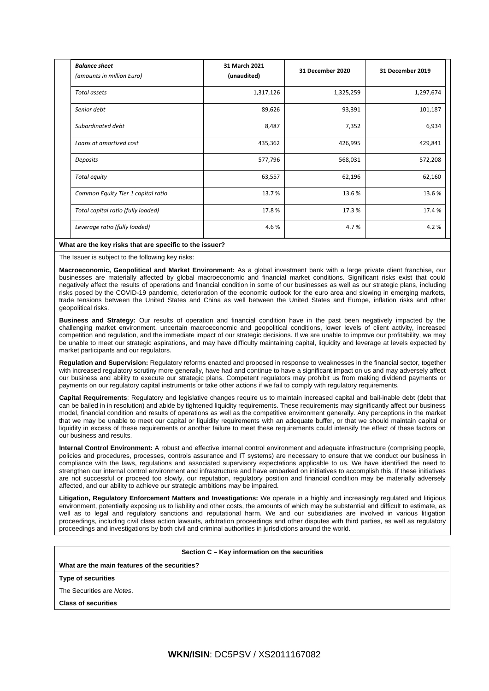| <b>Balance sheet</b><br>(amounts in million Euro) | 31 March 2021<br>(unaudited) | 31 December 2020 | 31 December 2019 |
|---------------------------------------------------|------------------------------|------------------|------------------|
| Total assets                                      | 1,317,126                    | 1,325,259        | 1,297,674        |
| Senior debt                                       | 89,626                       | 93,391           | 101,187          |
| Subordinated debt                                 | 8,487                        | 7,352            | 6,934            |
| Loans at amortized cost                           | 435,362                      | 426,995          | 429,841          |
| Deposits                                          | 577,796                      | 568,031          | 572,208          |
| Total equity                                      | 63,557                       | 62,196           | 62,160           |
| Common Equity Tier 1 capital ratio                | 13.7%                        | 13.6%            | 13.6%            |
| Total capital ratio (fully loaded)                | 17.8%                        | 17.3%            | 17.4 %           |
| Leverage ratio (fully loaded)                     | 4.6%                         | 4.7%             | 4.2%             |

#### **What are the key risks that are specific to the issuer?**

The Issuer is subject to the following key risks:

**Macroeconomic, Geopolitical and Market Environment:** As a global investment bank with a large private client franchise, our businesses are materially affected by global macroeconomic and financial market conditions. Significant risks exist that could negatively affect the results of operations and financial condition in some of our businesses as well as our strategic plans, including risks posed by the COVID-19 pandemic, deterioration of the economic outlook for the euro area and slowing in emerging markets, trade tensions between the United States and China as well between the United States and Europe, inflation risks and other geopolitical risks.

**Business and Strategy:** Our results of operation and financial condition have in the past been negatively impacted by the challenging market environment, uncertain macroeconomic and geopolitical conditions, lower levels of client activity, increased competition and regulation, and the immediate impact of our strategic decisions. If we are unable to improve our profitability, we may be unable to meet our strategic aspirations, and may have difficulty maintaining capital, liquidity and leverage at levels expected by market participants and our regulators.

**Regulation and Supervision:** Regulatory reforms enacted and proposed in response to weaknesses in the financial sector, together with increased regulatory scrutiny more generally, have had and continue to have a significant impact on us and may adversely affect our business and ability to execute our strategic plans. Competent regulators may prohibit us from making dividend payments or payments on our regulatory capital instruments or take other actions if we fail to comply with regulatory requirements.

**Capital Requirements**: Regulatory and legislative changes require us to maintain increased capital and bail-inable debt (debt that can be bailed in in resolution) and abide by tightened liquidity requirements. These requirements may significantly affect our business model, financial condition and results of operations as well as the competitive environment generally. Any perceptions in the market that we may be unable to meet our capital or liquidity requirements with an adequate buffer, or that we should maintain capital or liquidity in excess of these requirements or another failure to meet these requirements could intensify the effect of these factors on our business and results.

**Internal Control Environment:** A robust and effective internal control environment and adequate infrastructure (comprising people, policies and procedures, processes, controls assurance and IT systems) are necessary to ensure that we conduct our business in compliance with the laws, regulations and associated supervisory expectations applicable to us. We have identified the need to strengthen our internal control environment and infrastructure and have embarked on initiatives to accomplish this. If these initiatives are not successful or proceed too slowly, our reputation, regulatory position and financial condition may be materially adversely affected, and our ability to achieve our strategic ambitions may be impaired.

**Litigation, Regulatory Enforcement Matters and Investigations:** We operate in a highly and increasingly regulated and litigious environment, potentially exposing us to liability and other costs, the amounts of which may be substantial and difficult to estimate, as well as to legal and regulatory sanctions and reputational harm. We and our subsidiaries are involved in various litigation proceedings, including civil class action lawsuits, arbitration proceedings and other disputes with third parties, as well as regulatory proceedings and investigations by both civil and criminal authorities in jurisdictions around the world.

#### **Section C – Key information on the securities**

**What are the main features of the securities?**

### **Type of securities**

The Securities are *Notes*.

**Class of securities**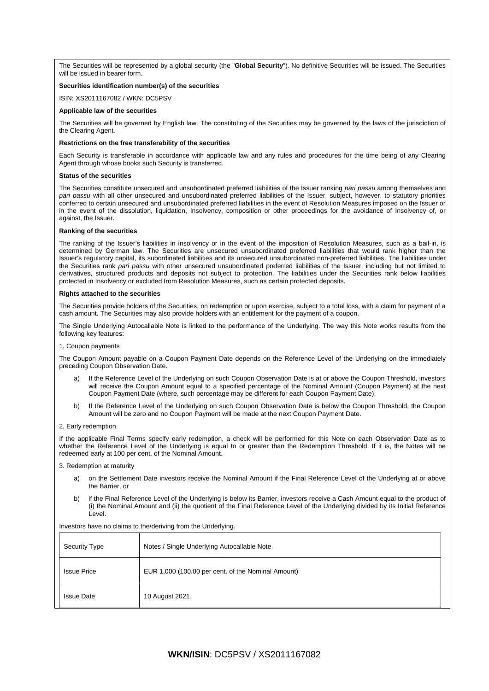The Securities will be represented by a global security (the "**Global Security**"). No definitive Securities will be issued. The Securities will be issued in bearer form.

### **Securities identification number(s) of the securities**

ISIN: XS2011167082 / WKN: DC5PSV

#### **Applicable law of the securities**

The Securities will be governed by English law. The constituting of the Securities may be governed by the laws of the jurisdiction of the Clearing Agent.

#### **Restrictions on the free transferability of the securities**

Each Security is transferable in accordance with applicable law and any rules and procedures for the time being of any Clearing Agent through whose books such Security is transferred.

#### **Status of the securities**

The Securities constitute unsecured and unsubordinated preferred liabilities of the Issuer ranking *pari passu* among themselves and *pari passu* with all other unsecured and unsubordinated preferred liabilities of the Issuer, subject, however, to statutory priorities conferred to certain unsecured and unsubordinated preferred liabilities in the event of Resolution Measures imposed on the Issuer or in the event of the dissolution, liquidation, Insolvency, composition or other proceedings for the avoidance of Insolvency of, or against, the Issuer.

#### **Ranking of the securities**

The ranking of the Issuer's liabilities in insolvency or in the event of the imposition of Resolution Measures, such as a bail-in, is determined by German law. The Securities are unsecured unsubordinated preferred liabilities that would rank higher than the Issuer's regulatory capital, its subordinated liabilities and its unsecured unsubordinated non-preferred liabilities. The liabilities under the Securities rank *pari passu* with other unsecured unsubordinated preferred liabilities of the Issuer, including but not limited to derivatives, structured products and deposits not subject to protection. The liabilities under the Securities rank below liabilities protected in Insolvency or excluded from Resolution Measures, such as certain protected deposits.

#### **Rights attached to the securities**

The Securities provide holders of the Securities, on redemption or upon exercise, subject to a total loss, with a claim for payment of a cash amount. The Securities may also provide holders with an entitlement for the payment of a coupon.

The Single Underlying Autocallable Note is linked to the performance of the Underlying. The way this Note works results from the following key features:

#### 1. Coupon payments

The Coupon Amount payable on a Coupon Payment Date depends on the Reference Level of the Underlying on the immediately preceding Coupon Observation Date.

- a) If the Reference Level of the Underlying on such Coupon Observation Date is at or above the Coupon Threshold, investors will receive the Coupon Amount equal to a specified percentage of the Nominal Amount (Coupon Payment) at the next Coupon Payment Date (where, such percentage may be different for each Coupon Payment Date),
- b) If the Reference Level of the Underlying on such Coupon Observation Date is below the Coupon Threshold, the Coupon Amount will be zero and no Coupon Payment will be made at the next Coupon Payment Date.

#### 2. Early redemption

If the applicable Final Terms specify early redemption, a check will be performed for this Note on each Observation Date as to whether the Reference Level of the Underlying is equal to or greater than the Redemption Threshold. If it is, the Notes will be redeemed early at 100 per cent. of the Nominal Amount.

3. Redemption at maturity

- a) on the Settlement Date investors receive the Nominal Amount if the Final Reference Level of the Underlying at or above the Barrier, or
- b) if the Final Reference Level of the Underlying is below its Barrier, investors receive a Cash Amount equal to the product of (i) the Nominal Amount and (ii) the quotient of the Final Reference Level of the Underlying divided by its Initial Reference Level.

| <b>Security Type</b> | Notes / Single Underlying Autocallable Note        |
|----------------------|----------------------------------------------------|
| <b>Issue Price</b>   | EUR 1,000 (100.00 per cent. of the Nominal Amount) |
| <b>Issue Date</b>    | 10 August 2021                                     |

Investors have no claims to the/deriving from the Underlying.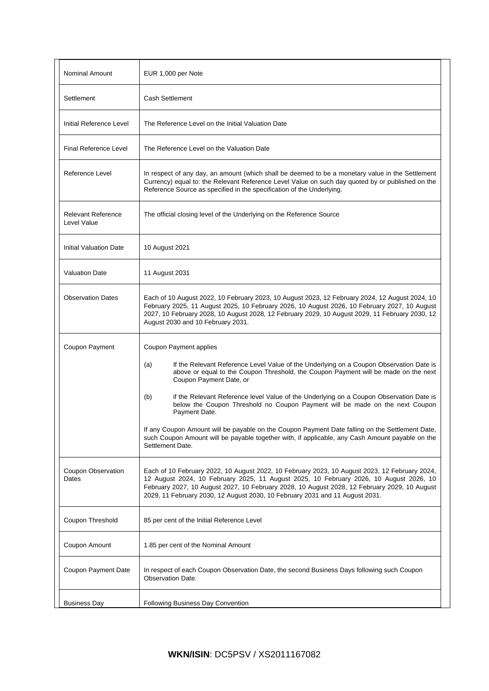| <b>Nominal Amount</b>                    | EUR 1,000 per Note                                                                                                                                                                                                                                                                                                                                                                                                                                                                                                                                                                                                                                                      |  |  |
|------------------------------------------|-------------------------------------------------------------------------------------------------------------------------------------------------------------------------------------------------------------------------------------------------------------------------------------------------------------------------------------------------------------------------------------------------------------------------------------------------------------------------------------------------------------------------------------------------------------------------------------------------------------------------------------------------------------------------|--|--|
| Settlement                               | Cash Settlement                                                                                                                                                                                                                                                                                                                                                                                                                                                                                                                                                                                                                                                         |  |  |
| Initial Reference Level                  | The Reference Level on the Initial Valuation Date                                                                                                                                                                                                                                                                                                                                                                                                                                                                                                                                                                                                                       |  |  |
| <b>Final Reference Level</b>             | The Reference Level on the Valuation Date                                                                                                                                                                                                                                                                                                                                                                                                                                                                                                                                                                                                                               |  |  |
| Reference Level                          | In respect of any day, an amount (which shall be deemed to be a monetary value in the Settlement<br>Currency) equal to: the Relevant Reference Level Value on such day quoted by or published on the<br>Reference Source as specified in the specification of the Underlying.                                                                                                                                                                                                                                                                                                                                                                                           |  |  |
| <b>Relevant Reference</b><br>Level Value | The official closing level of the Underlying on the Reference Source                                                                                                                                                                                                                                                                                                                                                                                                                                                                                                                                                                                                    |  |  |
| <b>Initial Valuation Date</b>            | 10 August 2021                                                                                                                                                                                                                                                                                                                                                                                                                                                                                                                                                                                                                                                          |  |  |
| <b>Valuation Date</b>                    | 11 August 2031                                                                                                                                                                                                                                                                                                                                                                                                                                                                                                                                                                                                                                                          |  |  |
| <b>Observation Dates</b>                 | Each of 10 August 2022, 10 February 2023, 10 August 2023, 12 February 2024, 12 August 2024, 10<br>February 2025, 11 August 2025, 10 February 2026, 10 August 2026, 10 February 2027, 10 August<br>2027, 10 February 2028, 10 August 2028, 12 February 2029, 10 August 2029, 11 February 2030, 12<br>August 2030 and 10 February 2031.                                                                                                                                                                                                                                                                                                                                   |  |  |
| Coupon Payment                           | Coupon Payment applies<br>If the Relevant Reference Level Value of the Underlying on a Coupon Observation Date is<br>(a)<br>above or equal to the Coupon Threshold, the Coupon Payment will be made on the next<br>Coupon Payment Date, or<br>if the Relevant Reference level Value of the Underlying on a Coupon Observation Date is<br>(b)<br>below the Coupon Threshold no Coupon Payment will be made on the next Coupon<br>Payment Date.<br>If any Coupon Amount will be payable on the Coupon Payment Date falling on the Settlement Date,<br>such Coupon Amount will be payable together with, if applicable, any Cash Amount payable on the<br>Settlement Date. |  |  |
| <b>Coupon Observation</b><br>Dates       | Each of 10 February 2022, 10 August 2022, 10 February 2023, 10 August 2023, 12 February 2024,<br>12 August 2024, 10 February 2025, 11 August 2025, 10 February 2026, 10 August 2026, 10<br>February 2027, 10 August 2027, 10 February 2028, 10 August 2028, 12 February 2029, 10 August<br>2029, 11 February 2030, 12 August 2030, 10 February 2031 and 11 August 2031.                                                                                                                                                                                                                                                                                                 |  |  |
| Coupon Threshold                         | 85 per cent of the Initial Reference Level                                                                                                                                                                                                                                                                                                                                                                                                                                                                                                                                                                                                                              |  |  |
| Coupon Amount                            | 1.85 per cent of the Nominal Amount                                                                                                                                                                                                                                                                                                                                                                                                                                                                                                                                                                                                                                     |  |  |
| Coupon Payment Date                      | In respect of each Coupon Observation Date, the second Business Days following such Coupon<br>Observation Date.                                                                                                                                                                                                                                                                                                                                                                                                                                                                                                                                                         |  |  |
| <b>Business Day</b>                      | <b>Following Business Day Convention</b>                                                                                                                                                                                                                                                                                                                                                                                                                                                                                                                                                                                                                                |  |  |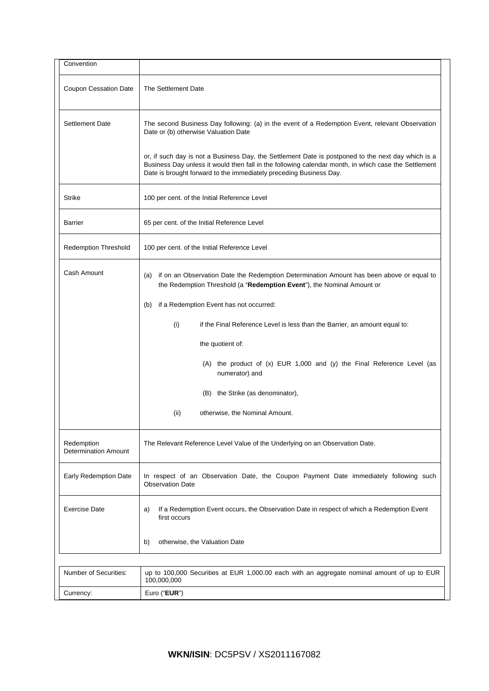| Convention                                |                                                                                                                                                                                                                                                                                  |  |  |  |
|-------------------------------------------|----------------------------------------------------------------------------------------------------------------------------------------------------------------------------------------------------------------------------------------------------------------------------------|--|--|--|
| <b>Coupon Cessation Date</b>              | The Settlement Date                                                                                                                                                                                                                                                              |  |  |  |
| <b>Settlement Date</b>                    | The second Business Day following: (a) in the event of a Redemption Event, relevant Observation<br>Date or (b) otherwise Valuation Date                                                                                                                                          |  |  |  |
|                                           | or, if such day is not a Business Day, the Settlement Date is postponed to the next day which is a<br>Business Day unless it would then fall in the following calendar month, in which case the Settlement<br>Date is brought forward to the immediately preceding Business Day. |  |  |  |
| <b>Strike</b>                             | 100 per cent. of the Initial Reference Level                                                                                                                                                                                                                                     |  |  |  |
| <b>Barrier</b>                            | 65 per cent. of the Initial Reference Level                                                                                                                                                                                                                                      |  |  |  |
| <b>Redemption Threshold</b>               | 100 per cent. of the Initial Reference Level                                                                                                                                                                                                                                     |  |  |  |
| Cash Amount                               | if on an Observation Date the Redemption Determination Amount has been above or equal to<br>(a)<br>the Redemption Threshold (a "Redemption Event"), the Nominal Amount or                                                                                                        |  |  |  |
|                                           | if a Redemption Event has not occurred:<br>(b)                                                                                                                                                                                                                                   |  |  |  |
|                                           | (i)<br>if the Final Reference Level is less than the Barrier, an amount equal to:                                                                                                                                                                                                |  |  |  |
|                                           | the quotient of:                                                                                                                                                                                                                                                                 |  |  |  |
|                                           | (A) the product of (x) EUR 1,000 and (y) the Final Reference Level (as<br>numerator) and                                                                                                                                                                                         |  |  |  |
|                                           | (B) the Strike (as denominator),                                                                                                                                                                                                                                                 |  |  |  |
|                                           | otherwise, the Nominal Amount.<br>(ii)                                                                                                                                                                                                                                           |  |  |  |
| Redemption<br><b>Determination Amount</b> | The Relevant Reference Level Value of the Underlying on an Observation Date.                                                                                                                                                                                                     |  |  |  |
| Early Redemption Date                     | In respect of an Observation Date, the Coupon Payment Date immediately following such<br><b>Observation Date</b>                                                                                                                                                                 |  |  |  |
| <b>Exercise Date</b>                      | If a Redemption Event occurs, the Observation Date in respect of which a Redemption Event<br>a)<br>first occurs                                                                                                                                                                  |  |  |  |
|                                           | b)<br>otherwise, the Valuation Date                                                                                                                                                                                                                                              |  |  |  |
|                                           |                                                                                                                                                                                                                                                                                  |  |  |  |
| Number of Securities:                     | up to 100,000 Securities at EUR 1,000.00 each with an aggregate nominal amount of up to EUR<br>100,000,000                                                                                                                                                                       |  |  |  |
| Currency:                                 | Euro ("EUR")                                                                                                                                                                                                                                                                     |  |  |  |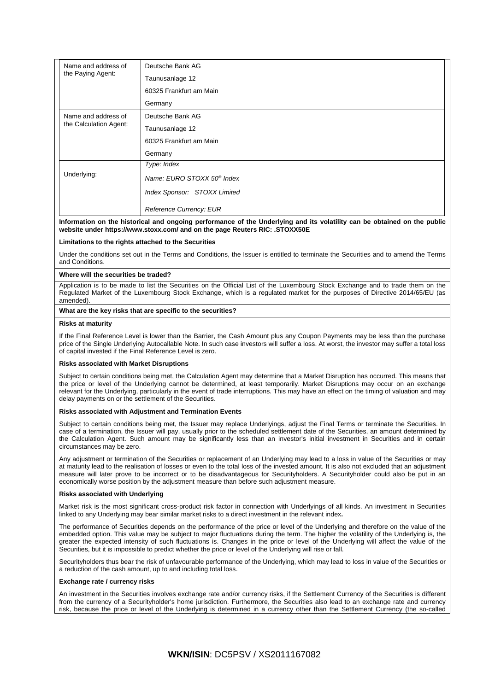| Name and address of<br>the Paying Agent:      | Deutsche Bank AG                       |
|-----------------------------------------------|----------------------------------------|
|                                               | Taunusanlage 12                        |
|                                               | 60325 Frankfurt am Main                |
|                                               | Germany                                |
| Name and address of<br>the Calculation Agent: | Deutsche Bank AG                       |
|                                               | Taunusanlage 12                        |
|                                               | 60325 Frankfurt am Main                |
|                                               | Germany                                |
| Underlying:                                   | Type: Index                            |
|                                               | Name: EURO STOXX 50 <sup>®</sup> Index |
|                                               | Index Sponsor: STOXX Limited           |
|                                               | <b>Reference Currency: EUR</b>         |

#### **Information on the historical and ongoing performance of the Underlying and its volatility can be obtained on the public website under https://www.stoxx.com/ and on the page Reuters RIC: .STOXX50E**

#### **Limitations to the rights attached to the Securities**

Under the conditions set out in the Terms and Conditions, the Issuer is entitled to terminate the Securities and to amend the Terms and Conditions.

#### **Where will the securities be traded?**

Application is to be made to list the Securities on the Official List of the Luxembourg Stock Exchange and to trade them on the Regulated Market of the Luxembourg Stock Exchange, which is a regulated market for the purposes of Directive 2014/65/EU (as amended).

#### **What are the key risks that are specific to the securities?**

#### **Risks at maturity**

If the Final Reference Level is lower than the Barrier, the Cash Amount plus any Coupon Payments may be less than the purchase price of the Single Underlying Autocallable Note. In such case investors will suffer a loss. At worst, the investor may suffer a total loss of capital invested if the Final Reference Level is zero.

#### **Risks associated with Market Disruptions**

Subject to certain conditions being met, the Calculation Agent may determine that a Market Disruption has occurred. This means that the price or level of the Underlying cannot be determined, at least temporarily. Market Disruptions may occur on an exchange relevant for the Underlying, particularly in the event of trade interruptions. This may have an effect on the timing of valuation and may delay payments on or the settlement of the Securities.

#### **Risks associated with Adjustment and Termination Events**

Subject to certain conditions being met, the Issuer may replace Underlyings, adjust the Final Terms or terminate the Securities. In case of a termination, the Issuer will pay, usually prior to the scheduled settlement date of the Securities, an amount determined by the Calculation Agent. Such amount may be significantly less than an investor's initial investment in Securities and in certain circumstances may be zero.

Any adjustment or termination of the Securities or replacement of an Underlying may lead to a loss in value of the Securities or may at maturity lead to the realisation of losses or even to the total loss of the invested amount. It is also not excluded that an adjustment measure will later prove to be incorrect or to be disadvantageous for Securityholders. A Securityholder could also be put in an economically worse position by the adjustment measure than before such adjustment measure.

#### **Risks associated with Underlying**

Market risk is the most significant cross-product risk factor in connection with Underlyings of all kinds. An investment in Securities linked to any Underlying may bear similar market risks to a direct investment in the relevant index**.**

The performance of Securities depends on the performance of the price or level of the Underlying and therefore on the value of the embedded option. This value may be subject to major fluctuations during the term. The higher the volatility of the Underlying is, the greater the expected intensity of such fluctuations is. Changes in the price or level of the Underlying will affect the value of the Securities, but it is impossible to predict whether the price or level of the Underlying will rise or fall.

Securityholders thus bear the risk of unfavourable performance of the Underlying, which may lead to loss in value of the Securities or a reduction of the cash amount, up to and including total loss.

#### **Exchange rate / currency risks**

An investment in the Securities involves exchange rate and/or currency risks, if the Settlement Currency of the Securities is different from the currency of a Securityholder's home jurisdiction. Furthermore, the Securities also lead to an exchange rate and currency risk, because the price or level of the Underlying is determined in a currency other than the Settlement Currency (the so-called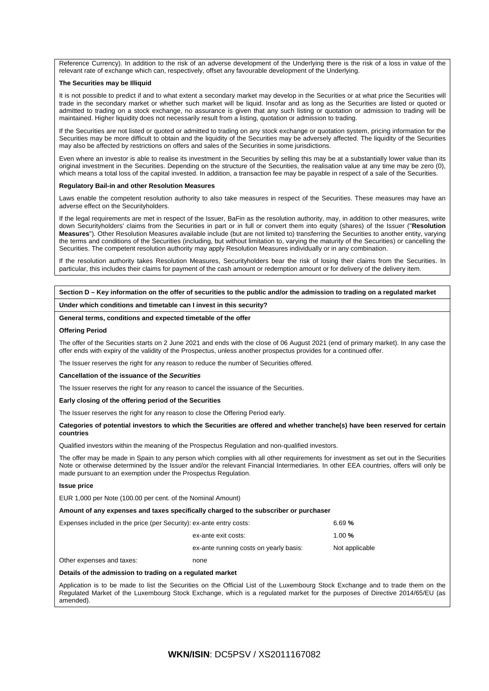Reference Currency). In addition to the risk of an adverse development of the Underlying there is the risk of a loss in value of the relevant rate of exchange which can, respectively, offset any favourable development of the Underlying.

#### **The Securities may be Illiquid**

It is not possible to predict if and to what extent a secondary market may develop in the Securities or at what price the Securities will trade in the secondary market or whether such market will be liquid. Insofar and as long as the Securities are listed or quoted or admitted to trading on a stock exchange, no assurance is given that any such listing or quotation or admission to trading will be maintained. Higher liquidity does not necessarily result from a listing, quotation or admission to trading.

If the Securities are not listed or quoted or admitted to trading on any stock exchange or quotation system, pricing information for the Securities may be more difficult to obtain and the liquidity of the Securities may be adversely affected. The liquidity of the Securities may also be affected by restrictions on offers and sales of the Securities in some jurisdictions.

Even where an investor is able to realise its investment in the Securities by selling this may be at a substantially lower value than its original investment in the Securities. Depending on the structure of the Securities, the realisation value at any time may be zero (0), which means a total loss of the capital invested. In addition, a transaction fee may be payable in respect of a sale of the Securities.

#### **Regulatory Bail-in and other Resolution Measures**

Laws enable the competent resolution authority to also take measures in respect of the Securities. These measures may have an adverse effect on the Securityholders.

If the legal requirements are met in respect of the Issuer, BaFin as the resolution authority, may, in addition to other measures, write down Securityholders' claims from the Securities in part or in full or convert them into equity (shares) of the Issuer ("**Resolution Measures**"). Other Resolution Measures available include (but are not limited to) transferring the Securities to another entity, varying the terms and conditions of the Securities (including, but without limitation to, varying the maturity of the Securities) or cancelling the Securities. The competent resolution authority may apply Resolution Measures individually or in any combination.

If the resolution authority takes Resolution Measures, Securityholders bear the risk of losing their claims from the Securities. In particular, this includes their claims for payment of the cash amount or redemption amount or for delivery of the delivery item.

**Section D – Key information on the offer of securities to the public and/or the admission to trading on a regulated market**

**Under which conditions and timetable can I invest in this security?**

#### **General terms, conditions and expected timetable of the offer**

#### **Offering Period**

The offer of the Securities starts on 2 June 2021 and ends with the close of 06 August 2021 (end of primary market). In any case the offer ends with expiry of the validity of the Prospectus, unless another prospectus provides for a continued offer.

The Issuer reserves the right for any reason to reduce the number of Securities offered.

#### **Cancellation of the issuance of the** *Securities*

The Issuer reserves the right for any reason to cancel the issuance of the Securities.

**Early closing of the offering period of the Securities**

The Issuer reserves the right for any reason to close the Offering Period early.

#### **Categories of potential investors to which the Securities are offered and whether tranche(s) have been reserved for certain countries**

Qualified investors within the meaning of the Prospectus Regulation and non-qualified investors.

The offer may be made in Spain to any person which complies with all other requirements for investment as set out in the Securities Note or otherwise determined by the Issuer and/or the relevant Financial Intermediaries. In other EEA countries, offers will only be made pursuant to an exemption under the Prospectus Regulation.

#### **Issue price**

EUR 1,000 per Note (100.00 per cent. of the Nominal Amount)

**Amount of any expenses and taxes specifically charged to the subscriber or purchaser**

| Expenses included in the price (per Security): ex-ante entry costs: | 6.69%                                  |                |
|---------------------------------------------------------------------|----------------------------------------|----------------|
|                                                                     | ex-ante exit costs:                    | 1.00 $%$       |
|                                                                     | ex-ante running costs on yearly basis: | Not applicable |

Other expenses and taxes: none

#### **Details of the admission to trading on a regulated market**

Application is to be made to list the Securities on the Official List of the Luxembourg Stock Exchange and to trade them on the Regulated Market of the Luxembourg Stock Exchange, which is a regulated market for the purposes of Directive 2014/65/EU (as amended).